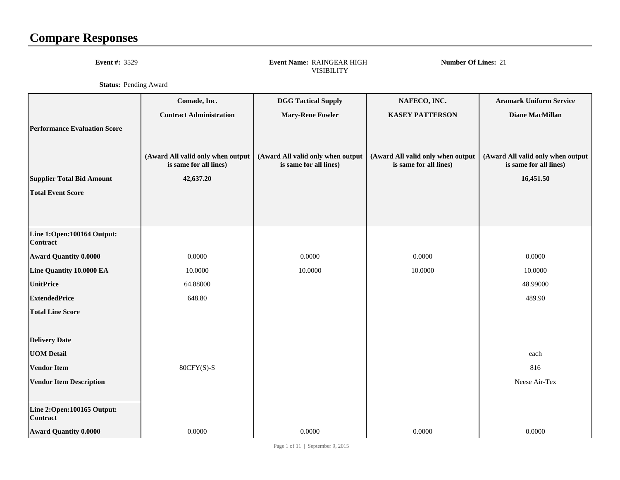## **Compare Responses**

**Event #:** <sup>3529</sup>

 **Event Name:** RAINGEAR HIGHVISIBILITY

**Number Of Lines:** <sup>21</sup>

**Status:** Pending Award

|                                               | Comade, Inc.                                                | <b>DGG Tactical Supply</b>                                  | NAFECO, INC.                                                | <b>Aramark Uniform Service</b>                              |
|-----------------------------------------------|-------------------------------------------------------------|-------------------------------------------------------------|-------------------------------------------------------------|-------------------------------------------------------------|
|                                               | <b>Contract Administration</b>                              | <b>Mary-Rene Fowler</b>                                     | <b>KASEY PATTERSON</b>                                      | <b>Diane MacMillan</b>                                      |
| <b>Performance Evaluation Score</b>           | (Award All valid only when output<br>is same for all lines) | (Award All valid only when output<br>is same for all lines) | (Award All valid only when output<br>is same for all lines) | (Award All valid only when output<br>is same for all lines) |
| <b>Supplier Total Bid Amount</b>              | 42,637.20                                                   |                                                             |                                                             | 16,451.50                                                   |
| <b>Total Event Score</b>                      |                                                             |                                                             |                                                             |                                                             |
|                                               |                                                             |                                                             |                                                             |                                                             |
| Line 1:Open:100164 Output:<br><b>Contract</b> |                                                             |                                                             |                                                             |                                                             |
| <b>Award Quantity 0.0000</b>                  | 0.0000                                                      | 0.0000                                                      | 0.0000                                                      | 0.0000                                                      |
| Line Quantity 10.0000 EA                      | 10.0000                                                     | 10.0000                                                     | 10.0000                                                     | 10.0000                                                     |
| <b>UnitPrice</b>                              | 64.88000                                                    |                                                             |                                                             | 48.99000                                                    |
| <b>ExtendedPrice</b>                          | 648.80                                                      |                                                             |                                                             | 489.90                                                      |
| <b>Total Line Score</b>                       |                                                             |                                                             |                                                             |                                                             |
|                                               |                                                             |                                                             |                                                             |                                                             |
| <b>Delivery Date</b>                          |                                                             |                                                             |                                                             |                                                             |
| <b>UOM Detail</b>                             |                                                             |                                                             |                                                             | each                                                        |
| <b>Vendor Item</b>                            | $80CFY(S)-S$                                                |                                                             |                                                             | 816                                                         |
| <b>Vendor Item Description</b>                |                                                             |                                                             |                                                             | Neese Air-Tex                                               |
|                                               |                                                             |                                                             |                                                             |                                                             |
| Line 2:Open:100165 Output:<br><b>Contract</b> |                                                             |                                                             |                                                             |                                                             |
| <b>Award Quantity 0.0000</b>                  | 0.0000                                                      | 0.0000                                                      | 0.0000                                                      | 0.0000                                                      |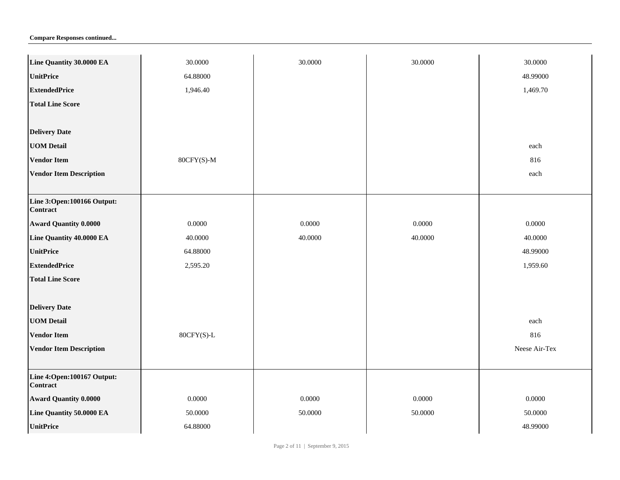| Line Quantity 30.0000 EA                        | 30.0000      | 30.0000 | 30.0000 | 30.0000       |
|-------------------------------------------------|--------------|---------|---------|---------------|
| <b>UnitPrice</b>                                | 64.88000     |         |         | 48.99000      |
| <b>ExtendedPrice</b>                            | 1,946.40     |         |         | 1,469.70      |
| <b>Total Line Score</b>                         |              |         |         |               |
|                                                 |              |         |         |               |
| <b>Delivery Date</b>                            |              |         |         |               |
| <b>UOM Detail</b>                               |              |         |         | each          |
| <b>Vendor Item</b>                              | $80CFY(S)-M$ |         |         | 816           |
| <b>Vendor Item Description</b>                  |              |         |         | each          |
|                                                 |              |         |         |               |
| Line 3:Open:100166 Output:<br><b>Contract</b>   |              |         |         |               |
| <b>Award Quantity 0.0000</b>                    | 0.0000       | 0.0000  | 0.0000  | 0.0000        |
| Line Quantity 40.0000 EA                        | 40.0000      | 40.0000 | 40.0000 | 40.0000       |
| <b>UnitPrice</b>                                | 64.88000     |         |         | 48.99000      |
| <b>ExtendedPrice</b>                            | 2,595.20     |         |         | 1,959.60      |
| <b>Total Line Score</b>                         |              |         |         |               |
|                                                 |              |         |         |               |
| <b>Delivery Date</b>                            |              |         |         |               |
| <b>UOM Detail</b>                               |              |         |         | each          |
| <b>Vendor Item</b>                              | 80CFY(S)-L   |         |         | 816           |
| <b>Vendor Item Description</b>                  |              |         |         | Neese Air-Tex |
|                                                 |              |         |         |               |
| Line 4: Open: 100167 Output:<br><b>Contract</b> |              |         |         |               |
| <b>Award Quantity 0.0000</b>                    | 0.0000       | 0.0000  | 0.0000  | 0.0000        |
| Line Quantity 50.0000 EA                        | 50.0000      | 50.0000 | 50.0000 | 50.0000       |
| <b>UnitPrice</b>                                | 64.88000     |         |         | 48.99000      |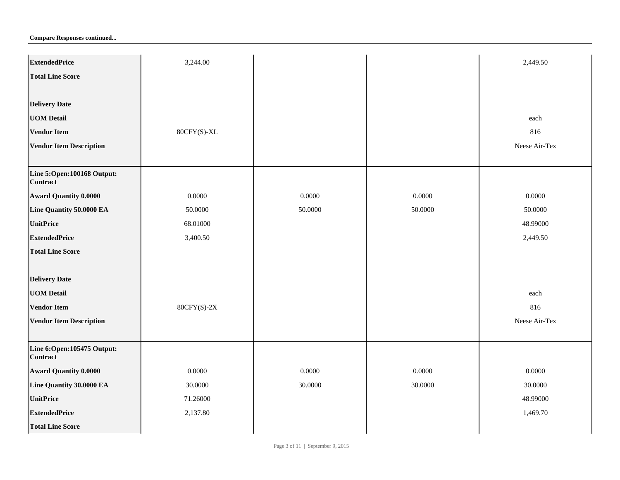| <b>Compare Responses continued</b> |  |
|------------------------------------|--|
|------------------------------------|--|

| <b>ExtendedPrice</b>                          | 3,244.00      |         |         | 2,449.50      |
|-----------------------------------------------|---------------|---------|---------|---------------|
| <b>Total Line Score</b>                       |               |         |         |               |
|                                               |               |         |         |               |
| <b>Delivery Date</b>                          |               |         |         |               |
| <b>UOM Detail</b>                             |               |         |         | each          |
| <b>Vendor Item</b>                            | 80CFY(S)-XL   |         |         | 816           |
| <b>Vendor Item Description</b>                |               |         |         | Neese Air-Tex |
|                                               |               |         |         |               |
| Line 5:Open:100168 Output:<br><b>Contract</b> |               |         |         |               |
| <b>Award Quantity 0.0000</b>                  | 0.0000        | 0.0000  | 0.0000  | 0.0000        |
| Line Quantity 50.0000 EA                      | 50.0000       | 50.0000 | 50.0000 | 50.0000       |
| <b>UnitPrice</b>                              | 68.01000      |         |         | 48.99000      |
| <b>ExtendedPrice</b>                          | 3,400.50      |         |         | 2,449.50      |
| <b>Total Line Score</b>                       |               |         |         |               |
|                                               |               |         |         |               |
| <b>Delivery Date</b>                          |               |         |         |               |
| <b>UOM Detail</b>                             |               |         |         | each          |
| <b>Vendor Item</b>                            | $80CFY(S)-2X$ |         |         | 816           |
| <b>Vendor Item Description</b>                |               |         |         | Neese Air-Tex |
| Line 6:Open:105475 Output:<br><b>Contract</b> |               |         |         |               |
| <b>Award Quantity 0.0000</b>                  | 0.0000        | 0.0000  | 0.0000  | 0.0000        |
| Line Quantity 30.0000 EA                      | 30.0000       | 30.0000 | 30.0000 | 30.0000       |
| <b>UnitPrice</b>                              | 71.26000      |         |         | 48.99000      |
| <b>ExtendedPrice</b>                          | 2,137.80      |         |         | 1,469.70      |
| <b>Total Line Score</b>                       |               |         |         |               |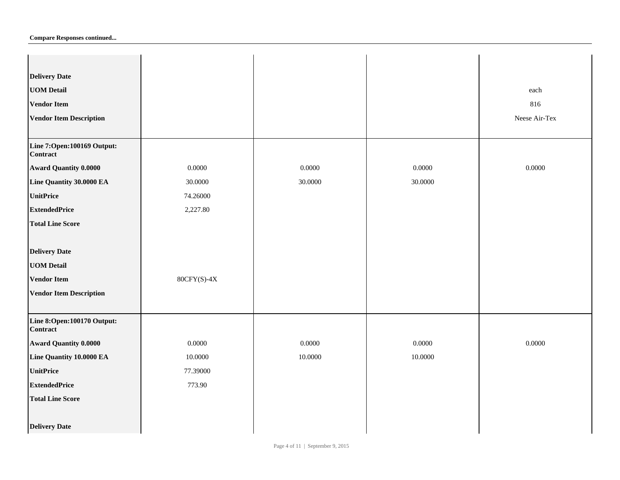| <b>Delivery Date</b>                            |               |         |         |               |
|-------------------------------------------------|---------------|---------|---------|---------------|
| <b>UOM Detail</b>                               |               |         |         | each          |
| <b>Vendor Item</b>                              |               |         |         | 816           |
| <b>Vendor Item Description</b>                  |               |         |         | Neese Air-Tex |
|                                                 |               |         |         |               |
| Line 7: Open: 100169 Output:<br><b>Contract</b> |               |         |         |               |
| <b>Award Quantity 0.0000</b>                    | 0.0000        | 0.0000  | 0.0000  | 0.0000        |
| Line Quantity 30.0000 EA                        | 30.0000       | 30.0000 | 30.0000 |               |
| <b>UnitPrice</b>                                | 74.26000      |         |         |               |
| <b>ExtendedPrice</b>                            | 2,227.80      |         |         |               |
| <b>Total Line Score</b>                         |               |         |         |               |
|                                                 |               |         |         |               |
| <b>Delivery Date</b>                            |               |         |         |               |
| <b>UOM Detail</b>                               |               |         |         |               |
| <b>Vendor Item</b>                              | $80CFY(S)-4X$ |         |         |               |
| <b>Vendor Item Description</b>                  |               |         |         |               |
|                                                 |               |         |         |               |
| Line 8:Open:100170 Output:<br><b>Contract</b>   |               |         |         |               |
| <b>Award Quantity 0.0000</b>                    | 0.0000        | 0.0000  | 0.0000  | 0.0000        |
| Line Quantity 10.0000 EA                        | 10.0000       | 10.0000 | 10.0000 |               |
| <b>UnitPrice</b>                                | 77.39000      |         |         |               |
| <b>ExtendedPrice</b>                            | 773.90        |         |         |               |
| <b>Total Line Score</b>                         |               |         |         |               |
|                                                 |               |         |         |               |
| <b>Delivery Date</b>                            |               |         |         |               |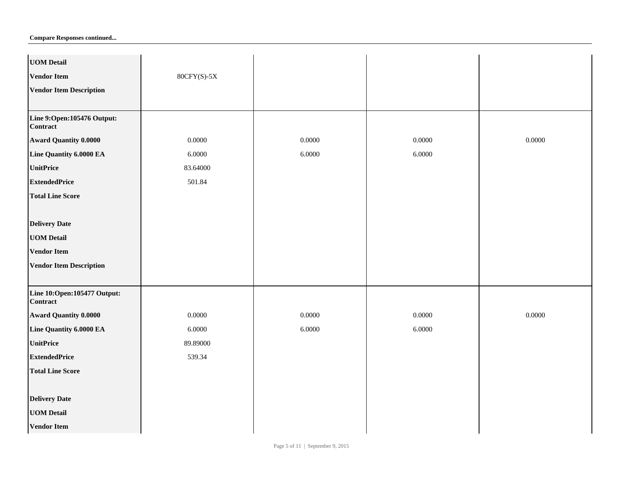| <b>UOM Detail</b>                              |               |        |        |        |
|------------------------------------------------|---------------|--------|--------|--------|
| <b>Vendor Item</b>                             | $80CFY(S)-5X$ |        |        |        |
| <b>Vendor Item Description</b>                 |               |        |        |        |
|                                                |               |        |        |        |
| Line 9:Open:105476 Output:<br><b>Contract</b>  |               |        |        |        |
| <b>Award Quantity 0.0000</b>                   | 0.0000        | 0.0000 | 0.0000 | 0.0000 |
| Line Quantity 6.0000 EA                        | 6.0000        | 6.0000 | 6.0000 |        |
| <b>UnitPrice</b>                               | 83.64000      |        |        |        |
| <b>ExtendedPrice</b>                           | 501.84        |        |        |        |
| <b>Total Line Score</b>                        |               |        |        |        |
|                                                |               |        |        |        |
| <b>Delivery Date</b>                           |               |        |        |        |
| <b>UOM Detail</b>                              |               |        |        |        |
| <b>Vendor Item</b>                             |               |        |        |        |
| <b>Vendor Item Description</b>                 |               |        |        |        |
|                                                |               |        |        |        |
| Line 10:Open:105477 Output:<br><b>Contract</b> |               |        |        |        |
| <b>Award Quantity 0.0000</b>                   | 0.0000        | 0.0000 | 0.0000 | 0.0000 |
| Line Quantity 6.0000 EA                        | 6.0000        | 6.0000 | 6.0000 |        |
| <b>UnitPrice</b>                               | 89.89000      |        |        |        |
| <b>ExtendedPrice</b>                           | 539.34        |        |        |        |
| <b>Total Line Score</b>                        |               |        |        |        |
|                                                |               |        |        |        |
| <b>Delivery Date</b>                           |               |        |        |        |
| <b>UOM Detail</b>                              |               |        |        |        |
| <b>Vendor Item</b>                             |               |        |        |        |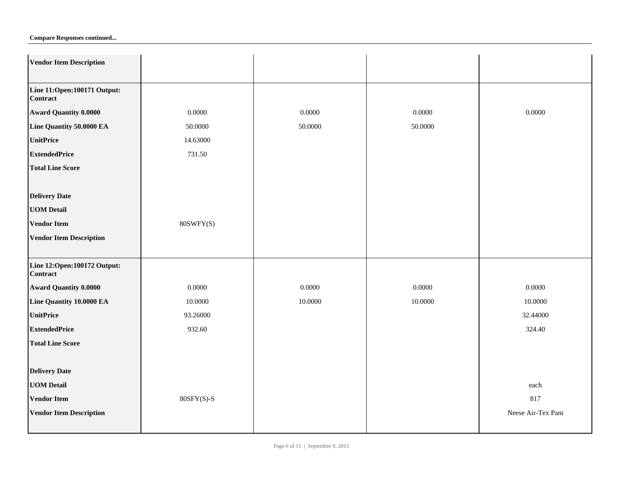| <b>Vendor Item Description</b>          |              |         |         |                    |
|-----------------------------------------|--------------|---------|---------|--------------------|
|                                         |              |         |         |                    |
| Line 11:Open:100171 Output:<br>Contract |              |         |         |                    |
| <b>Award Quantity 0.0000</b>            | 0.0000       | 0.0000  | 0.0000  | 0.0000             |
| Line Quantity 50.0000 EA                | 50.0000      | 50.0000 | 50.0000 |                    |
| <b>UnitPrice</b>                        | 14.63000     |         |         |                    |
| <b>ExtendedPrice</b>                    | 731.50       |         |         |                    |
| <b>Total Line Score</b>                 |              |         |         |                    |
|                                         |              |         |         |                    |
| <b>Delivery Date</b>                    |              |         |         |                    |
| <b>UOM Detail</b>                       |              |         |         |                    |
| <b>Vendor Item</b>                      | 80SWFY(S)    |         |         |                    |
| <b>Vendor Item Description</b>          |              |         |         |                    |
|                                         |              |         |         |                    |
| Line 12:Open:100172 Output:<br>Contract |              |         |         |                    |
| <b>Award Quantity 0.0000</b>            | 0.0000       | 0.0000  | 0.0000  | 0.0000             |
| Line Quantity 10.0000 EA                | 10.0000      | 10.0000 | 10.0000 | 10.0000            |
| <b>UnitPrice</b>                        | 93.26000     |         |         | 32.44000           |
| <b>ExtendedPrice</b>                    | 932.60       |         |         | 324.40             |
| <b>Total Line Score</b>                 |              |         |         |                    |
|                                         |              |         |         |                    |
| <b>Delivery Date</b>                    |              |         |         |                    |
| <b>UOM Detail</b>                       |              |         |         | each               |
| <b>Vendor Item</b>                      | $80SFY(S)-S$ |         |         | 817                |
| <b>Vendor Item Description</b>          |              |         |         | Neese Air-Tex Pant |
|                                         |              |         |         |                    |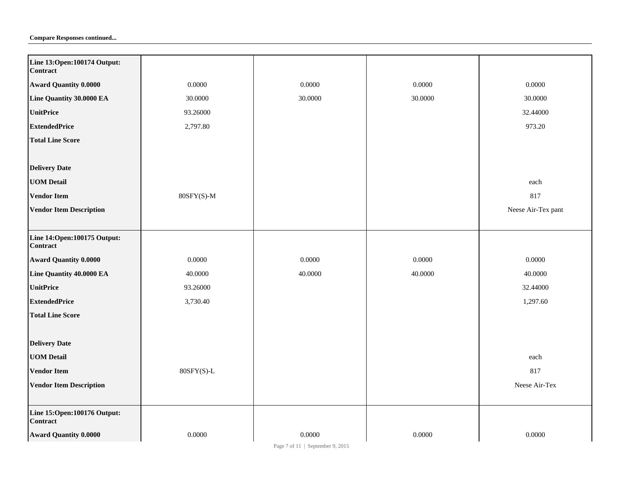| Line 13:Open: 100174 Output:<br>Contract |              |         |         |                    |
|------------------------------------------|--------------|---------|---------|--------------------|
| <b>Award Quantity 0.0000</b>             | 0.0000       | 0.0000  | 0.0000  | 0.0000             |
| Line Quantity 30.0000 EA                 | 30.0000      | 30.0000 | 30.0000 | 30.0000            |
| <b>UnitPrice</b>                         | 93.26000     |         |         | 32.44000           |
| <b>ExtendedPrice</b>                     | 2,797.80     |         |         | 973.20             |
| <b>Total Line Score</b>                  |              |         |         |                    |
|                                          |              |         |         |                    |
| <b>Delivery Date</b>                     |              |         |         |                    |
| <b>UOM Detail</b>                        |              |         |         | each               |
| <b>Vendor Item</b>                       | $80SFY(S)-M$ |         |         | 817                |
| <b>Vendor Item Description</b>           |              |         |         | Neese Air-Tex pant |
|                                          |              |         |         |                    |
| Line 14:Open:100175 Output:<br>Contract  |              |         |         |                    |
| <b>Award Quantity 0.0000</b>             | 0.0000       | 0.0000  | 0.0000  | 0.0000             |
| Line Quantity 40.0000 EA                 | 40.0000      | 40.0000 | 40.0000 | 40.0000            |
| <b>UnitPrice</b>                         | 93.26000     |         |         | 32.44000           |
| <b>ExtendedPrice</b>                     | 3,730.40     |         |         | 1,297.60           |
| <b>Total Line Score</b>                  |              |         |         |                    |
|                                          |              |         |         |                    |
| <b>Delivery Date</b>                     |              |         |         |                    |
| <b>UOM Detail</b>                        |              |         |         | each               |
| <b>Vendor Item</b>                       | $80SFY(S)-L$ |         |         | 817                |
| <b>Vendor Item Description</b>           |              |         |         | Neese Air-Tex      |
|                                          |              |         |         |                    |
| Line 15:Open:100176 Output:<br>Contract  |              |         |         |                    |
| <b>Award Quantity 0.0000</b>             | 0.0000       | 0.0000  | 0.0000  | 0.0000             |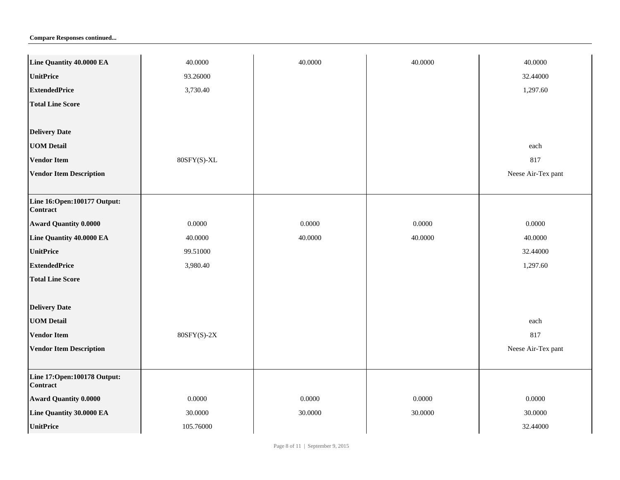| Line Quantity 40.0000 EA                       | 40.0000       | 40.0000 | 40.0000 | 40.0000            |
|------------------------------------------------|---------------|---------|---------|--------------------|
| <b>UnitPrice</b>                               | 93.26000      |         |         | 32.44000           |
| <b>ExtendedPrice</b>                           | 3,730.40      |         |         | 1,297.60           |
| <b>Total Line Score</b>                        |               |         |         |                    |
|                                                |               |         |         |                    |
| <b>Delivery Date</b>                           |               |         |         |                    |
| <b>UOM Detail</b>                              |               |         |         | each               |
| <b>Vendor Item</b>                             | 80SFY(S)-XL   |         |         | 817                |
| <b>Vendor Item Description</b>                 |               |         |         | Neese Air-Tex pant |
|                                                |               |         |         |                    |
| Line 16:Open:100177 Output:<br><b>Contract</b> |               |         |         |                    |
| <b>Award Quantity 0.0000</b>                   | 0.0000        | 0.0000  | 0.0000  | 0.0000             |
| Line Quantity 40.0000 EA                       | 40.0000       | 40.0000 | 40.0000 | 40.0000            |
| <b>UnitPrice</b>                               | 99.51000      |         |         | 32.44000           |
| <b>ExtendedPrice</b>                           | 3,980.40      |         |         | 1,297.60           |
| <b>Total Line Score</b>                        |               |         |         |                    |
|                                                |               |         |         |                    |
| <b>Delivery Date</b>                           |               |         |         |                    |
| <b>UOM Detail</b>                              |               |         |         | each               |
| <b>Vendor Item</b>                             | $80SFY(S)-2X$ |         |         | 817                |
| <b>Vendor Item Description</b>                 |               |         |         | Neese Air-Tex pant |
|                                                |               |         |         |                    |
| Line 17:Open:100178 Output:<br><b>Contract</b> |               |         |         |                    |
| <b>Award Quantity 0.0000</b>                   | 0.0000        | 0.0000  | 0.0000  | 0.0000             |
| Line Quantity 30.0000 EA                       | 30.0000       | 30.0000 | 30.0000 | 30.0000            |
| <b>UnitPrice</b>                               | 105.76000     |         |         | 32.44000           |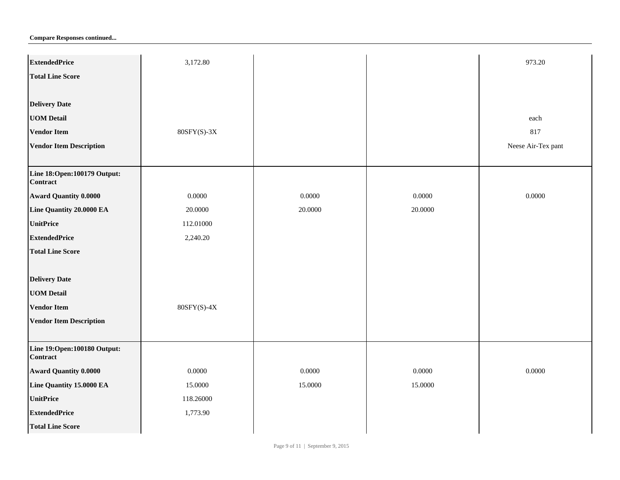| <b>ExtendedPrice</b>                           | 3,172.80      |         |         | 973.20             |
|------------------------------------------------|---------------|---------|---------|--------------------|
| <b>Total Line Score</b>                        |               |         |         |                    |
|                                                |               |         |         |                    |
| <b>Delivery Date</b>                           |               |         |         |                    |
| <b>UOM Detail</b>                              |               |         |         | each               |
| <b>Vendor Item</b>                             | $80SFY(S)-3X$ |         |         | 817                |
| <b>Vendor Item Description</b>                 |               |         |         | Neese Air-Tex pant |
|                                                |               |         |         |                    |
| Line 18:Open:100179 Output:<br><b>Contract</b> |               |         |         |                    |
| <b>Award Quantity 0.0000</b>                   | 0.0000        | 0.0000  | 0.0000  | 0.0000             |
| Line Quantity 20.0000 EA                       | 20.0000       | 20.0000 | 20.0000 |                    |
| <b>UnitPrice</b>                               | 112.01000     |         |         |                    |
| <b>ExtendedPrice</b>                           | 2,240.20      |         |         |                    |
| <b>Total Line Score</b>                        |               |         |         |                    |
|                                                |               |         |         |                    |
| <b>Delivery Date</b>                           |               |         |         |                    |
| <b>UOM Detail</b>                              |               |         |         |                    |
| <b>Vendor Item</b>                             | $80SFY(S)-4X$ |         |         |                    |
| <b>Vendor Item Description</b>                 |               |         |         |                    |
| Line 19:Open:100180 Output:<br><b>Contract</b> |               |         |         |                    |
| <b>Award Quantity 0.0000</b>                   | 0.0000        | 0.0000  | 0.0000  | 0.0000             |
| Line Quantity 15.0000 EA                       | 15.0000       | 15.0000 | 15.0000 |                    |
| <b>UnitPrice</b>                               | 118.26000     |         |         |                    |
| <b>ExtendedPrice</b>                           | 1,773.90      |         |         |                    |
| <b>Total Line Score</b>                        |               |         |         |                    |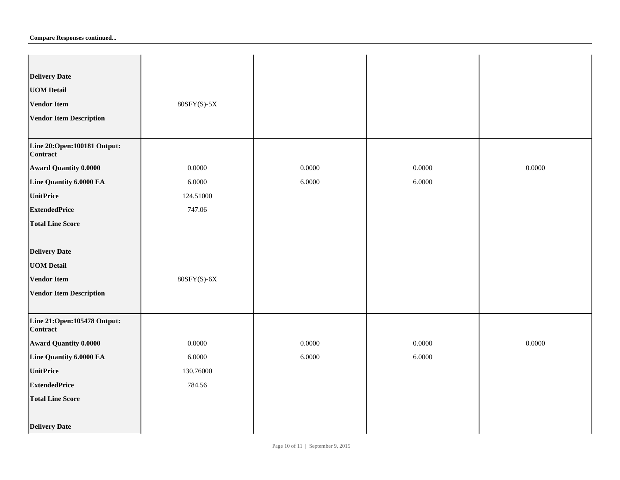|  |  | <b>Compare Responses continued</b> |
|--|--|------------------------------------|
|--|--|------------------------------------|

| <b>Delivery Date</b>                             |               |        |        |        |
|--------------------------------------------------|---------------|--------|--------|--------|
| <b>UOM Detail</b>                                |               |        |        |        |
| <b>Vendor Item</b>                               | $80SFY(S)-5X$ |        |        |        |
| <b>Vendor Item Description</b>                   |               |        |        |        |
|                                                  |               |        |        |        |
| Line 20:Open: 100181 Output:<br><b>Contract</b>  |               |        |        |        |
| <b>Award Quantity 0.0000</b>                     | 0.0000        | 0.0000 | 0.0000 | 0.0000 |
| Line Quantity 6.0000 EA                          | 6.0000        | 6.0000 | 6.0000 |        |
| <b>UnitPrice</b>                                 | 124.51000     |        |        |        |
| <b>ExtendedPrice</b>                             | 747.06        |        |        |        |
| <b>Total Line Score</b>                          |               |        |        |        |
|                                                  |               |        |        |        |
| <b>Delivery Date</b>                             |               |        |        |        |
| <b>UOM Detail</b>                                |               |        |        |        |
| <b>Vendor Item</b>                               | $80SFY(S)-6X$ |        |        |        |
| <b>Vendor Item Description</b>                   |               |        |        |        |
|                                                  |               |        |        |        |
| Line 21: Open: 105478 Output:<br><b>Contract</b> |               |        |        |        |
| <b>Award Quantity 0.0000</b>                     | 0.0000        | 0.0000 | 0.0000 | 0.0000 |
| Line Quantity 6.0000 EA                          | 6.0000        | 6.0000 | 6.0000 |        |
| <b>UnitPrice</b>                                 | 130.76000     |        |        |        |
| <b>ExtendedPrice</b>                             | 784.56        |        |        |        |
| <b>Total Line Score</b>                          |               |        |        |        |
|                                                  |               |        |        |        |
| <b>Delivery Date</b>                             |               |        |        |        |